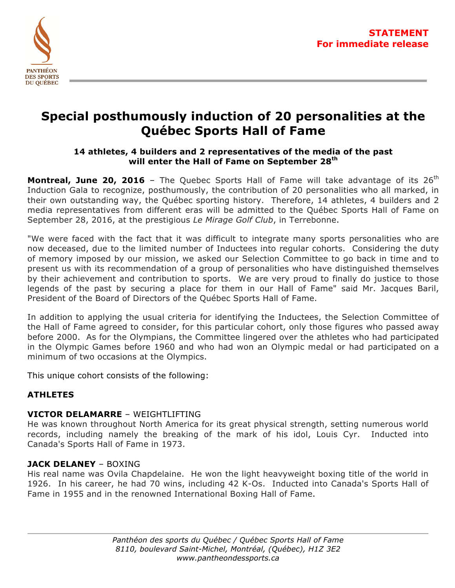

# **Special posthumously induction of 20 personalities at the Québec Sports Hall of Fame**

## **14 athletes, 4 builders and 2 representatives of the media of the past will enter the Hall of Fame on September 28th**

**Montreal, June 20, 2016** – The Quebec Sports Hall of Fame will take advantage of its 26<sup>th</sup> Induction Gala to recognize, posthumously, the contribution of 20 personalities who all marked, in their own outstanding way, the Québec sporting history. Therefore, 14 athletes, 4 builders and 2 media representatives from different eras will be admitted to the Québec Sports Hall of Fame on September 28, 2016, at the prestigious *Le Mirage Golf Club*, in Terrebonne.

"We were faced with the fact that it was difficult to integrate many sports personalities who are now deceased, due to the limited number of Inductees into regular cohorts. Considering the duty of memory imposed by our mission, we asked our Selection Committee to go back in time and to present us with its recommendation of a group of personalities who have distinguished themselves by their achievement and contribution to sports. We are very proud to finally do justice to those legends of the past by securing a place for them in our Hall of Fame" said Mr. Jacques Baril, President of the Board of Directors of the Québec Sports Hall of Fame.

In addition to applying the usual criteria for identifying the Inductees, the Selection Committee of the Hall of Fame agreed to consider, for this particular cohort, only those figures who passed away before 2000. As for the Olympians, the Committee lingered over the athletes who had participated in the Olympic Games before 1960 and who had won an Olympic medal or had participated on a minimum of two occasions at the Olympics.

This unique cohort consists of the following:

# **ATHLETES**

# **VICTOR DELAMARRE - WEIGHTLIFTING**

He was known throughout North America for its great physical strength, setting numerous world records, including namely the breaking of the mark of his idol, Louis Cyr. Inducted into Canada's Sports Hall of Fame in 1973.

## **JACK DELANEY** – BOXING

His real name was Ovila Chapdelaine. He won the light heavyweight boxing title of the world in 1926. In his career, he had 70 wins, including 42 K-Os. Inducted into Canada's Sports Hall of Fame in 1955 and in the renowned International Boxing Hall of Fame.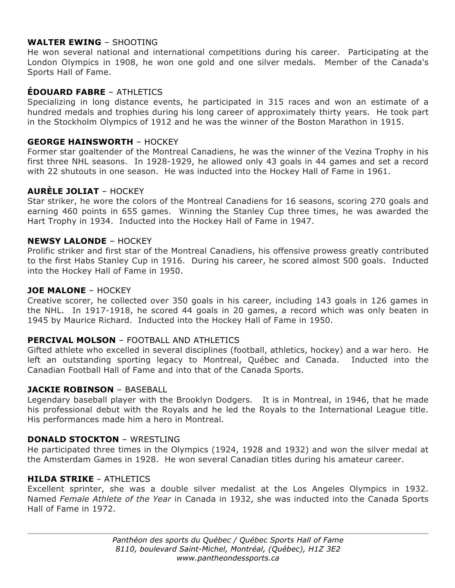## **WALTER EWING** – SHOOTING

He won several national and international competitions during his career. Participating at the London Olympics in 1908, he won one gold and one silver medals. Member of the Canada's Sports Hall of Fame.

## **ÉDOUARD FABRE** – ATHLETICS

Specializing in long distance events, he participated in 315 races and won an estimate of a hundred medals and trophies during his long career of approximately thirty years. He took part in the Stockholm Olympics of 1912 and he was the winner of the Boston Marathon in 1915.

#### **GEORGE HAINSWORTH** – HOCKEY

Former star goaltender of the Montreal Canadiens, he was the winner of the Vezina Trophy in his first three NHL seasons. In 1928-1929, he allowed only 43 goals in 44 games and set a record with 22 shutouts in one season. He was inducted into the Hockey Hall of Fame in 1961.

#### **AURÈLE JOLIAT** – HOCKEY

Star striker, he wore the colors of the Montreal Canadiens for 16 seasons, scoring 270 goals and earning 460 points in 655 games. Winning the Stanley Cup three times, he was awarded the Hart Trophy in 1934. Inducted into the Hockey Hall of Fame in 1947.

#### **NEWSY LALONDE** – HOCKEY

Prolific striker and first star of the Montreal Canadiens, his offensive prowess greatly contributed to the first Habs Stanley Cup in 1916. During his career, he scored almost 500 goals. Inducted into the Hockey Hall of Fame in 1950.

#### **JOE MALONE** – HOCKEY

Creative scorer, he collected over 350 goals in his career, including 143 goals in 126 games in the NHL. In 1917-1918, he scored 44 goals in 20 games, a record which was only beaten in 1945 by Maurice Richard. Inducted into the Hockey Hall of Fame in 1950.

#### **PERCIVAL MOLSON** – FOOTBALL AND ATHLETICS

Gifted athlete who excelled in several disciplines (football, athletics, hockey) and a war hero. He left an outstanding sporting legacy to Montreal, Québec and Canada. Inducted into the Canadian Football Hall of Fame and into that of the Canada Sports.

#### **JACKIE ROBINSON** – BASEBALL

Legendary baseball player with the Brooklyn Dodgers. It is in Montreal, in 1946, that he made his professional debut with the Royals and he led the Royals to the International League title. His performances made him a hero in Montreal.

#### **DONALD STOCKTON** – WRESTLING

He participated three times in the Olympics (1924, 1928 and 1932) and won the silver medal at the Amsterdam Games in 1928. He won several Canadian titles during his amateur career.

#### **HILDA STRIKE** – ATHLETICS

Excellent sprinter, she was a double silver medalist at the Los Angeles Olympics in 1932. Named *Female Athlete of the Year* in Canada in 1932, she was inducted into the Canada Sports Hall of Fame in 1972.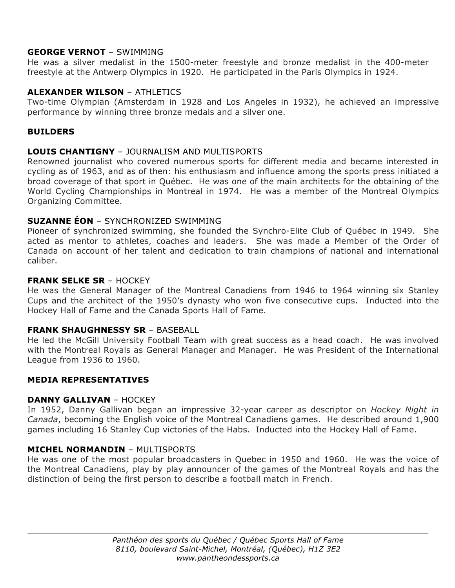## **GEORGE VERNOT** – SWIMMING

He was a silver medalist in the 1500-meter freestyle and bronze medalist in the 400-meter freestyle at the Antwerp Olympics in 1920. He participated in the Paris Olympics in 1924.

## **ALEXANDER WILSON** – ATHLETICS

Two-time Olympian (Amsterdam in 1928 and Los Angeles in 1932), he achieved an impressive performance by winning three bronze medals and a silver one.

## **BUILDERS**

## **LOUIS CHANTIGNY** – JOURNALISM AND MULTISPORTS

Renowned journalist who covered numerous sports for different media and became interested in cycling as of 1963, and as of then: his enthusiasm and influence among the sports press initiated a broad coverage of that sport in Québec. He was one of the main architects for the obtaining of the World Cycling Championships in Montreal in 1974. He was a member of the Montreal Olympics Organizing Committee.

## **SUZANNE ÉON** – SYNCHRONIZED SWIMMING

Pioneer of synchronized swimming, she founded the Synchro-Elite Club of Québec in 1949. She acted as mentor to athletes, coaches and leaders. She was made a Member of the Order of Canada on account of her talent and dedication to train champions of national and international caliber.

## **FRANK SELKE SR** – HOCKEY

He was the General Manager of the Montreal Canadiens from 1946 to 1964 winning six Stanley Cups and the architect of the 1950's dynasty who won five consecutive cups. Inducted into the Hockey Hall of Fame and the Canada Sports Hall of Fame.

## **FRANK SHAUGHNESSY SR** – BASEBALL

He led the McGill University Football Team with great success as a head coach. He was involved with the Montreal Royals as General Manager and Manager. He was President of the International League from 1936 to 1960.

## **MEDIA REPRESENTATIVES**

## **DANNY GALLIVAN** – HOCKEY

In 1952, Danny Gallivan began an impressive 32-year career as descriptor on *Hockey Night in Canada*, becoming the English voice of the Montreal Canadiens games. He described around 1,900 games including 16 Stanley Cup victories of the Habs. Inducted into the Hockey Hall of Fame.

## **MICHEL NORMANDIN** – MULTISPORTS

He was one of the most popular broadcasters in Quebec in 1950 and 1960. He was the voice of the Montreal Canadiens, play by play announcer of the games of the Montreal Royals and has the distinction of being the first person to describe a football match in French.